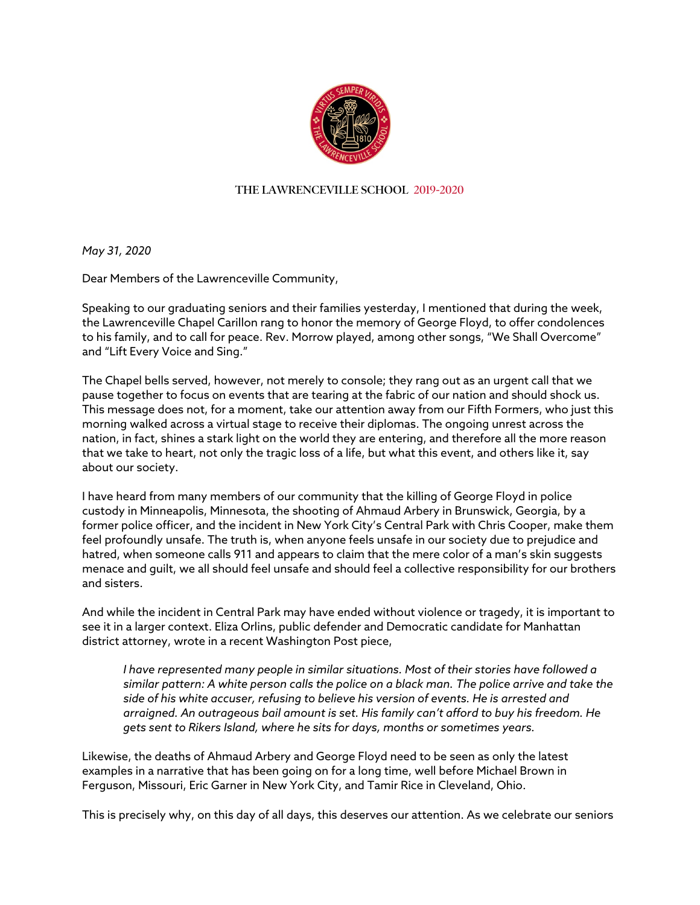

## **THE LAWRENCEVILLE SCHOOL 2019-2020**

*May 31, 2020*

Dear Members of the Lawrenceville Community,

Speaking to our graduating seniors and their families yesterday, I mentioned that during the week, the Lawrenceville Chapel Carillon rang to honor the memory of George Floyd, to offer condolences to his family, and to call for peace. Rev. Morrow played, among other songs, "We Shall Overcome" and "Lift Every Voice and Sing."

The Chapel bells served, however, not merely to console; they rang out as an urgent call that we pause together to focus on events that are tearing at the fabric of our nation and should shock us. This message does not, for a moment, take our attention away from our Fifth Formers, who just this morning walked across a virtual stage to receive their diplomas. The ongoing unrest across the nation, in fact, shines a stark light on the world they are entering, and therefore all the more reason that we take to heart, not only the tragic loss of a life, but what this event, and others like it, say about our society.

I have heard from many members of our community that the killing of George Floyd in police custody in Minneapolis, Minnesota, the shooting of Ahmaud Arbery in Brunswick, Georgia, by a former police officer, and the incident in New York City's Central Park with Chris Cooper, make them feel profoundly unsafe. The truth is, when anyone feels unsafe in our society due to prejudice and hatred, when someone calls 911 and appears to claim that the mere color of a man's skin suggests menace and guilt, we all should feel unsafe and should feel a collective responsibility for our brothers and sisters.

And while the incident in Central Park may have ended without violence or tragedy, it is important to see it in a larger context. Eliza Orlins, public defender and Democratic candidate for Manhattan district attorney, wrote in a recent Washington Post piece,

*I have represented many people in similar situations. Most of their stories have followed a similar pattern: A white person calls the police on a black man. The police arrive and take the side of his white accuser, refusing to believe his version of events. He is arrested and arraigned. An outrageous bail amount is set. His family can't afford to buy his freedom. He gets sent to Rikers Island, where he sits for days, months or sometimes years.*

Likewise, the deaths of Ahmaud Arbery and George Floyd need to be seen as only the latest examples in a narrative that has been going on for a long time, well before Michael Brown in Ferguson, Missouri, Eric Garner in New York City, and Tamir Rice in Cleveland, Ohio.

This is precisely why, on this day of all days, this deserves our attention. As we celebrate our seniors